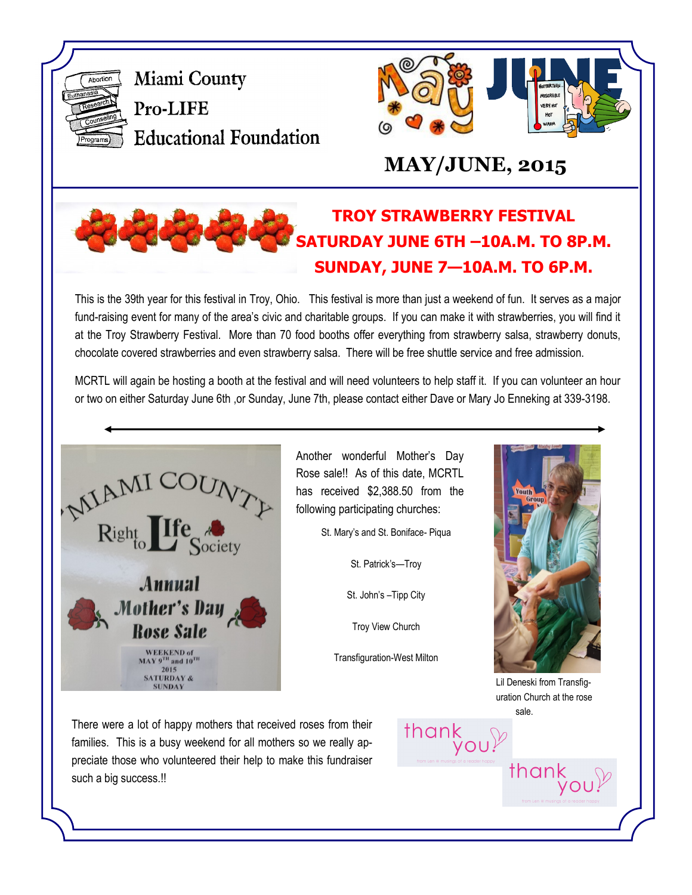

Miami County Pro-LIFE **Educational Foundation** 



# **MAY/JUNE, 2015**

# **TROY STRAWBERRY FESTIVAL SATURDAY JUNE 6TH –10A.M. TO 8P.M. SUNDAY, JUNE 7—10A.M. TO 6P.M.**

This is the 39th year for this festival in Troy, Ohio. This festival is more than just a weekend of fun. It serves as a major fund-raising event for many of the area's civic and charitable groups. If you can make it with strawberries, you will find it at the Troy Strawberry Festival. More than 70 food booths offer everything from strawberry salsa, strawberry donuts, chocolate covered strawberries and even strawberry salsa. There will be free shuttle service and free admission.

MCRTL will again be hosting a booth at the festival and will need volunteers to help staff it. If you can volunteer an hour or two on either Saturday June 6th ,or Sunday, June 7th, please contact either Dave or Mary Jo Enneking at 339-3198.



Another wonderful Mother's Day Rose sale!! As of this date, MCRTL has received \$2,388.50 from the following participating churches:

St. Mary's and St. Boniface- Piqua

St. Patrick's—Troy

St. John's –Tipp City

Troy View Church

Transfiguration-West Milton

thank  $y \circ u$ <sup> $\%$ </sup>



Lil Deneski from Transfiguration Church at the rose sale.

thank<br>you

There were a lot of happy mothers that received roses from their families. This is a busy weekend for all mothers so we really appreciate those who volunteered their help to make this fundraiser such a big success.!!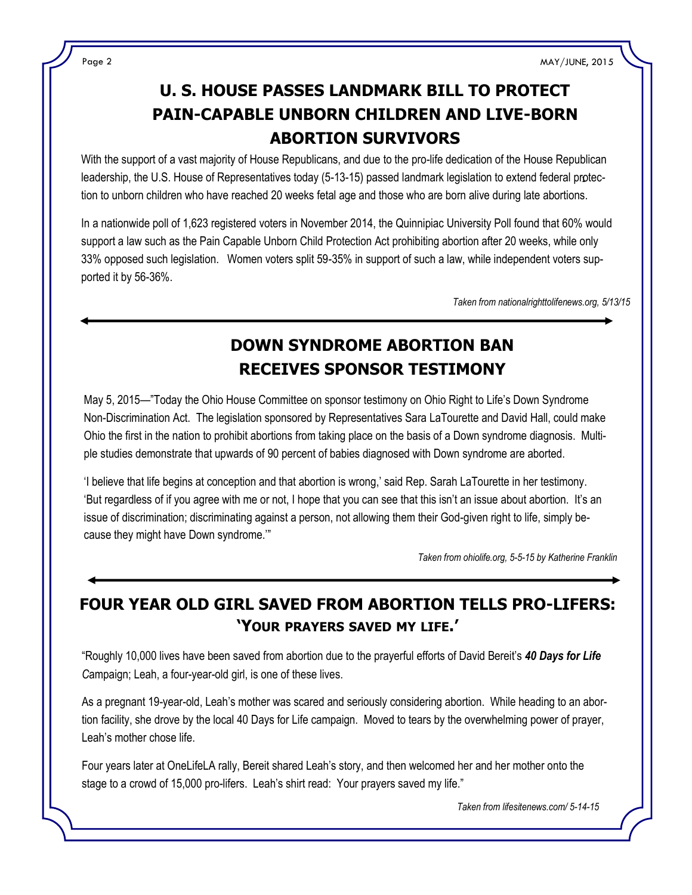## **U. S. HOUSE PASSES LANDMARK BILL TO PROTECT PAIN-CAPABLE UNBORN CHILDREN AND LIVE-BORN ABORTION SURVIVORS**

leadership, the U.S. House of Representatives today (5-13-15) passed landmark legislation to extend federal protec-With the support of a vast majority of House Republicans, and due to the pro-life dedication of the House Republican tion to unborn children who have reached 20 weeks fetal age and those who are born alive during late abortions.

In a nationwide poll of 1,623 registered voters in November 2014, the Quinnipiac University Poll found that 60% would support a law such as the Pain Capable Unborn Child Protection Act prohibiting abortion after 20 weeks, while only 33% opposed such legislation. Women voters split 59-35% in support of such a law, while independent voters supported it by 56-36%.

*Taken from nationalrighttolifenews.org, 5/13/15*

### **DOWN SYNDROME ABORTION BAN RECEIVES SPONSOR TESTIMONY**

May 5, 2015—"Today the Ohio House Committee on sponsor testimony on Ohio Right to Life's Down Syndrome Non-Discrimination Act. The legislation sponsored by Representatives Sara LaTourette and David Hall, could make Ohio the first in the nation to prohibit abortions from taking place on the basis of a Down syndrome diagnosis. Multiple studies demonstrate that upwards of 90 percent of babies diagnosed with Down syndrome are aborted.

'I believe that life begins at conception and that abortion is wrong,' said Rep. Sarah LaTourette in her testimony. 'But regardless of if you agree with me or not, I hope that you can see that this isn't an issue about abortion. It's an issue of discrimination; discriminating against a person, not allowing them their God-given right to life, simply because they might have Down syndrome.'"

*Taken from ohiolife.org, 5-5-15 by Katherine Franklin*

### **FOUR YEAR OLD GIRL SAVED FROM ABORTION TELLS PRO-LIFERS: 'YOUR PRAYERS SAVED MY LIFE.'**

"Roughly 10,000 lives have been saved from abortion due to the prayerful efforts of David Bereit's *40 Days for Life C*ampaign; Leah, a four-year-old girl, is one of these lives.

As a pregnant 19-year-old, Leah's mother was scared and seriously considering abortion. While heading to an abortion facility, she drove by the local 40 Days for Life campaign. Moved to tears by the overwhelming power of prayer, Leah's mother chose life.

Four years later at OneLifeLA rally, Bereit shared Leah's story, and then welcomed her and her mother onto the stage to a crowd of 15,000 pro-lifers. Leah's shirt read: Your prayers saved my life."

*Taken from lifesitenews.com/ 5-14-15*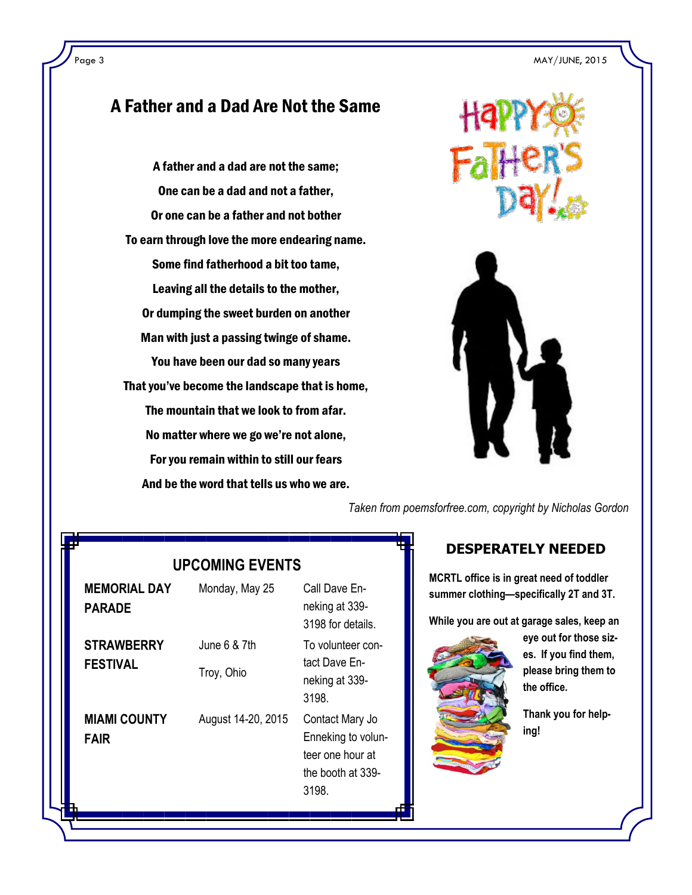#### A Father and a Dad Are Not the Same

A father and a dad are not the same; One can be a dad and not a father, Or one can be a father and not bother To earn through love the more endearing name. Some find fatherhood a bit too tame, Leaving all the details to the mother, Or dumping the sweet burden on another Man with just a passing twinge of shame. You have been our dad so many years That you've become the landscape that is home, The mountain that we look to from afar. No matter where we go we're not alone, For you remain within to still our fears And be the word that tells us who we are.



*Taken from poemsforfree.com, copyright by Nicholas Gordon*

#### **DESPERATELY NEEDED**

**MCRTL office is in great need of toddler summer clothing—specifically 2T and 3T.**

**While you are out at garage sales, keep an** 



**eye out for those sizes. If you find them, please bring them to the office.**

**Thank you for helping!**

#### **UPCOMING EVENTS**

| <b>MEMORIAL DAY</b><br><b>PARADE</b> | Monday, May 25             | Call Dave En-<br>neking at 339-<br>3198 for details.                                    |
|--------------------------------------|----------------------------|-----------------------------------------------------------------------------------------|
| <b>STRAWBERRY</b><br><b>FESTIVAL</b> | June 6 & 7th<br>Troy, Ohio | To volunteer con-<br>tact Dave En-<br>neking at 339-<br>3198.                           |
| <b>MIAMI COUNTY</b><br><b>FAIR</b>   | August 14-20, 2015         | Contact Mary Jo<br>Enneking to volun-<br>teer one hour at<br>the booth at 339-<br>3198. |
|                                      |                            |                                                                                         |